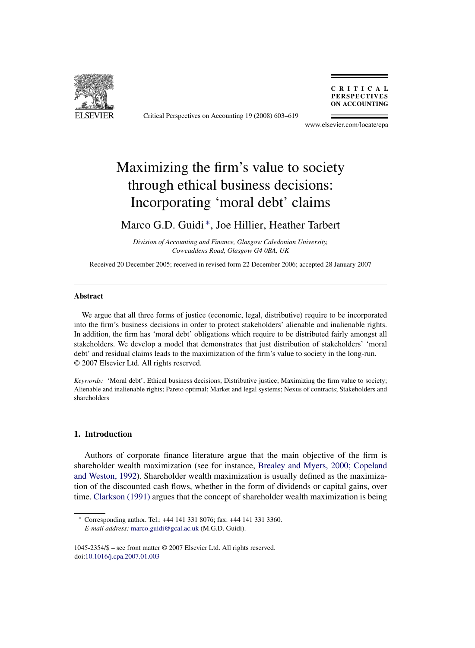

Critical Perspectives on Accounting 19 (2008) 603–619

CRITICAL **PERSPECTIVES ON ACCOUNTING** 

www.elsevier.com/locate/cpa

# Maximizing the firm's value to society through ethical business decisions: Incorporating 'moral debt' claims

### Marco G.D. Guidi ∗, Joe Hillier, Heather Tarbert

*Division of Accounting and Finance, Glasgow Caledonian University, Cowcaddens Road, Glasgow G4 0BA, UK*

Received 20 December 2005; received in revised form 22 December 2006; accepted 28 January 2007

#### **Abstract**

We argue that all three forms of justice (economic, legal, distributive) require to be incorporated into the firm's business decisions in order to protect stakeholders' alienable and inalienable rights. In addition, the firm has 'moral debt' obligations which require to be distributed fairly amongst all stakeholders. We develop a model that demonstrates that just distribution of stakeholders' 'moral debt' and residual claims leads to the maximization of the firm's value to society in the long-run. © 2007 Elsevier Ltd. All rights reserved.

*Keywords:* 'Moral debt'; Ethical business decisions; Distributive justice; Maximizing the firm value to society; Alienable and inalienable rights; Pareto optimal; Market and legal systems; Nexus of contracts; Stakeholders and shareholders

### **1. Introduction**

Authors of corporate finance literature argue that the main objective of the firm is shareholder wealth maximization (see for instance, [Brealey and Myers, 2000; Copeland](#page--1-0) [and Weston, 1992\).](#page--1-0) Shareholder wealth maximization is usually defined as the maximization of the discounted cash flows, whether in the form of dividends or capital gains, over time. [Clarkson \(1991\)](#page--1-0) argues that the concept of shareholder wealth maximization is being

<sup>∗</sup> Corresponding author. Tel.: +44 141 331 8076; fax: +44 141 331 3360. *E-mail address:* [marco.guidi@gcal.ac.uk](mailto:marco.guidi@gcal.ac.uk) (M.G.D. Guidi).

<sup>1045-2354/\$ –</sup> see front matter © 2007 Elsevier Ltd. All rights reserved. doi:[10.1016/j.cpa.2007.01.003](dx.doi.org/10.1016/j.cpa.2007.01.003)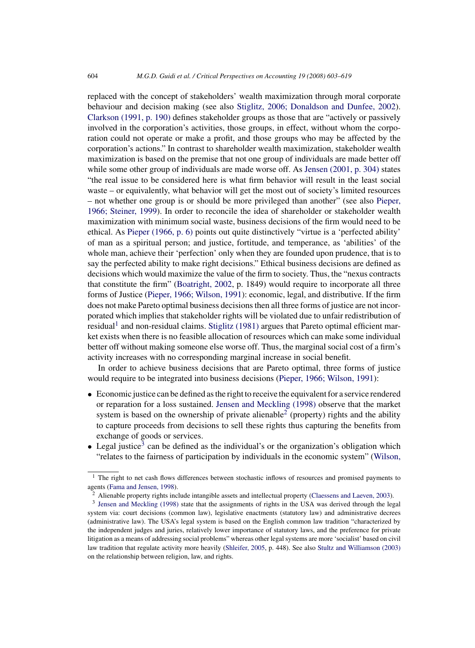replaced with the concept of stakeholders' wealth maximization through moral corporate behaviour and decision making (see also [Stiglitz, 2006; Donaldson and Dunfee, 2002\).](#page--1-0) [Clarkson \(1991, p. 190\)](#page--1-0) defines stakeholder groups as those that are "actively or passively involved in the corporation's activities, those groups, in effect, without whom the corporation could not operate or make a profit, and those groups who may be affected by the corporation's actions." In contrast to shareholder wealth maximization, stakeholder wealth maximization is based on the premise that not one group of individuals are made better off while some other group of individuals are made worse off. As [Jensen \(2001, p. 304\)](#page--1-0) states "the real issue to be considered here is what firm behavior will result in the least social waste – or equivalently, what behavior will get the most out of society's limited resources – not whether one group is or should be more privileged than another" (see also [Pieper,](#page--1-0) [1966; Steiner, 1999\).](#page--1-0) In order to reconcile the idea of shareholder or stakeholder wealth maximization with minimum social waste, business decisions of the firm would need to be ethical. As [Pieper \(1966, p. 6\)](#page--1-0) points out quite distinctively "virtue is a 'perfected ability' of man as a spiritual person; and justice, fortitude, and temperance, as 'abilities' of the whole man, achieve their 'perfection' only when they are founded upon prudence, that is to say the perfected ability to make right decisions." Ethical business decisions are defined as decisions which would maximize the value of the firm to society. Thus, the "nexus contracts that constitute the firm" ([Boatright, 2002,](#page--1-0) p. 1849) would require to incorporate all three forms of Justice [\(Pieper, 1966; Wilson, 1991\):](#page--1-0) economic, legal, and distributive. If the firm does not make Pareto optimal business decisions then all three forms of justice are not incorporated which implies that stakeholder rights will be violated due to unfair redistribution of residual<sup>1</sup> and non-residual claims. [Stiglitz \(1981\)](#page--1-0) argues that Pareto optimal efficient market exists when there is no feasible allocation of resources which can make some individual better off without making someone else worse off. Thus, the marginal social cost of a firm's activity increases with no corresponding marginal increase in social benefit.

In order to achieve business decisions that are Pareto optimal, three forms of justice would require to be integrated into business decisions ([Pieper, 1966; Wilson, 1991\):](#page--1-0)

- Economic justice can be defined as the right to receive the equivalent for a service rendered or reparation for a loss sustained. [Jensen and Meckling \(1998\)](#page--1-0) observe that the market system is based on the ownership of private alienable<sup>2</sup> (property) rights and the ability to capture proceeds from decisions to sell these rights thus capturing the benefits from exchange of goods or services.
- Legal justice<sup>3</sup> can be defined as the individual's or the organization's obligation which "relates to the fairness of participation by individuals in the economic system" [\(Wilson,](#page--1-0)

 $<sup>1</sup>$  The right to net cash flows differences between stochastic inflows of resources and promised payments to</sup> agents [\(Fama and Jensen, 1998\).](#page--1-0)

<sup>2</sup> Alienable property rights include intangible assets and intellectual property ([Claessens and Laeven, 2003\).](#page--1-0)

<sup>&</sup>lt;sup>3</sup> [Jensen and Meckling \(1998\)](#page--1-0) state that the assignments of rights in the USA was derived through the legal system via: court decisions (common law), legislative enactments (statutory law) and administrative decrees (administrative law). The USA's legal system is based on the English common law tradition "characterized by the independent judges and juries, relatively lower importance of statutory laws, and the preference for private litigation as a means of addressing social problems" whereas other legal systems are more 'socialist' based on civil law tradition that regulate activity more heavily [\(Shleifer, 2005, p](#page--1-0). 448). See also [Stultz and Williamson \(2003\)](#page--1-0) on the relationship between religion, law, and rights.